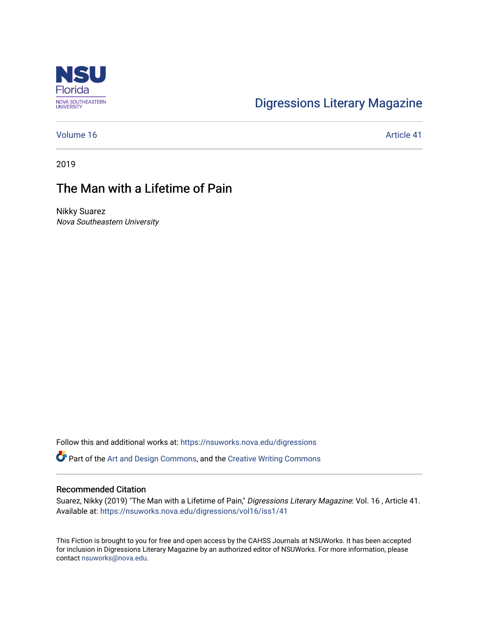

# [Digressions Literary Magazine](https://nsuworks.nova.edu/digressions)

[Volume 16](https://nsuworks.nova.edu/digressions/vol16) Article 41

2019

## The Man with a Lifetime of Pain

Nikky Suarez Nova Southeastern University

Follow this and additional works at: [https://nsuworks.nova.edu/digressions](https://nsuworks.nova.edu/digressions?utm_source=nsuworks.nova.edu%2Fdigressions%2Fvol16%2Fiss1%2F41&utm_medium=PDF&utm_campaign=PDFCoverPages) 

Part of the [Art and Design Commons](http://network.bepress.com/hgg/discipline/1049?utm_source=nsuworks.nova.edu%2Fdigressions%2Fvol16%2Fiss1%2F41&utm_medium=PDF&utm_campaign=PDFCoverPages), and the [Creative Writing Commons](http://network.bepress.com/hgg/discipline/574?utm_source=nsuworks.nova.edu%2Fdigressions%2Fvol16%2Fiss1%2F41&utm_medium=PDF&utm_campaign=PDFCoverPages)

#### Recommended Citation

Suarez, Nikky (2019) "The Man with a Lifetime of Pain," Digressions Literary Magazine: Vol. 16 , Article 41. Available at: [https://nsuworks.nova.edu/digressions/vol16/iss1/41](https://nsuworks.nova.edu/digressions/vol16/iss1/41?utm_source=nsuworks.nova.edu%2Fdigressions%2Fvol16%2Fiss1%2F41&utm_medium=PDF&utm_campaign=PDFCoverPages)

This Fiction is brought to you for free and open access by the CAHSS Journals at NSUWorks. It has been accepted for inclusion in Digressions Literary Magazine by an authorized editor of NSUWorks. For more information, please contact [nsuworks@nova.edu.](mailto:nsuworks@nova.edu)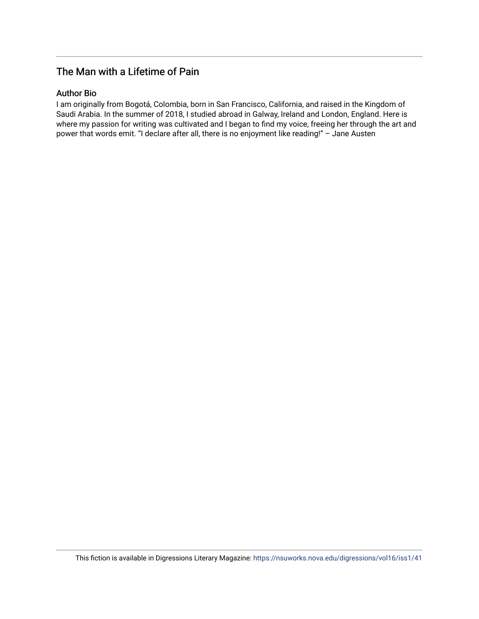## The Man with a Lifetime of Pain

### Author Bio

I am originally from Bogotá, Colombia, born in San Francisco, California, and raised in the Kingdom of Saudi Arabia. In the summer of 2018, I studied abroad in Galway, Ireland and London, England. Here is where my passion for writing was cultivated and I began to find my voice, freeing her through the art and power that words emit. "I declare after all, there is no enjoyment like reading!" – Jane Austen